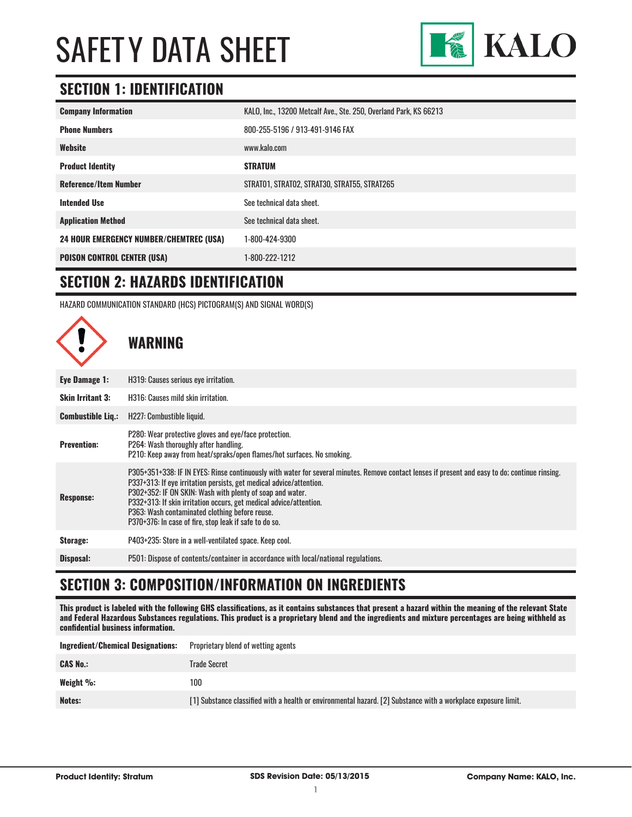

# **SECTION 1: IDENTIFICATION**

| <b>Company Information</b>                     | KALO, Inc., 13200 Metcalf Ave., Ste. 250, Overland Park, KS 66213 |
|------------------------------------------------|-------------------------------------------------------------------|
| <b>Phone Numbers</b>                           | 800-255-5196 / 913-491-9146 FAX                                   |
| Website                                        | www.kalo.com                                                      |
| <b>Product Identity</b>                        | <b>STRATUM</b>                                                    |
| <b>Reference/Item Number</b>                   | STRATO1, STRATO2, STRAT30, STRAT55, STRAT265                      |
| <b>Intended Use</b>                            | See technical data sheet.                                         |
| <b>Application Method</b>                      | See technical data sheet.                                         |
| <b>24 HOUR EMERGENCY NUMBER/CHEMTREC (USA)</b> | 1-800-424-9300                                                    |
| <b>POISON CONTROL CENTER (USA)</b>             | 1-800-222-1212                                                    |

#### **SECTION 2: HAZARDS IDENTIFICATION**

HAZARD COMMUNICATION STANDARD (HCS) PICTOGRAM(S) AND SIGNAL WORD(S)



# **SECTION 3: COMPOSITION/INFORMATION ON INGREDIENTS**

**This product is labeled with the following GHS classifications, as it contains substances that present a hazard within the meaning of the relevant State and Federal Hazardous Substances regulations. This product is a proprietary blend and the ingredients and mixture percentages are being withheld as confidential business information.**

| <b>Ingredient/Chemical Designations:</b> | Proprietary blend of wetting agents                                                                            |
|------------------------------------------|----------------------------------------------------------------------------------------------------------------|
| <b>CAS No.:</b>                          | Trade Secret                                                                                                   |
| Weight $\%$ :                            | 100                                                                                                            |
| Notes:                                   | [1] Substance classified with a health or environmental hazard. [2] Substance with a workplace exposure limit. |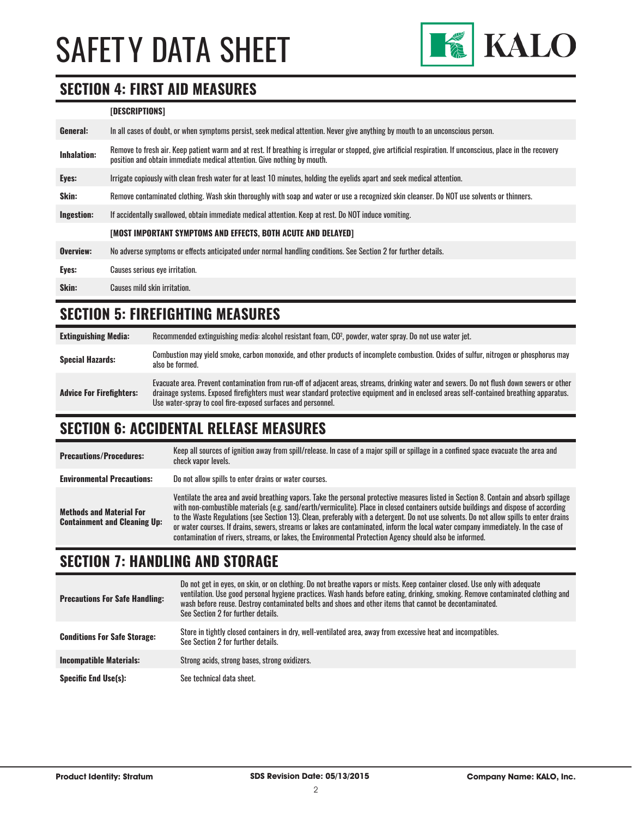

#### **SECTION 4: FIRST AID MEASURES**

#### **[DESCRIPTIONS]**

| General:           | In all cases of doubt, or when symptoms persist, seek medical attention. Never give anything by mouth to an unconscious person.                                                                                                         |
|--------------------|-----------------------------------------------------------------------------------------------------------------------------------------------------------------------------------------------------------------------------------------|
| <b>Inhalation:</b> | Remove to fresh air. Keep patient warm and at rest. If breathing is irregular or stopped, give artificial respiration. If unconscious, place in the recovery<br>position and obtain immediate medical attention. Give nothing by mouth. |
| Eyes:              | Irrigate copiously with clean fresh water for at least 10 minutes, holding the eyelids apart and seek medical attention.                                                                                                                |
| Skin:              | Remove contaminated clothing. Wash skin thoroughly with soap and water or use a recognized skin cleanser. Do NOT use solvents or thinners.                                                                                              |
| <b>Ingestion:</b>  | If accidentally swallowed, obtain immediate medical attention. Keep at rest. Do NOT induce vomiting.                                                                                                                                    |
|                    | [MOST IMPORTANT SYMPTOMS AND EFFECTS, BOTH ACUTE AND DELAYED]                                                                                                                                                                           |
| Overview:          | No adverse symptoms or effects anticipated under normal handling conditions. See Section 2 for further details.                                                                                                                         |
| Eyes:              | Causes serious eye irritation.                                                                                                                                                                                                          |
| Skin:              | Causes mild skin irritation.                                                                                                                                                                                                            |
|                    |                                                                                                                                                                                                                                         |

### **SECTION 5: FIREFIGHTING MEASURES**

**Extinguishing Media:** Recommended extinguishing media: alcohol resistant foam, CO<sup>2</sup> , powder, water spray. Do not use water jet. **Special Hazards:** Combustion may yield smoke, carbon monoxide, and other products of incomplete combustion. Oxides of sulfur, nitrogen or phosphorus may also be formed. **Advice For Firefighters:** Evacuate area. Prevent contamination from run-off of adjacent areas, streams, drinking water and sewers. Do not flush down sewers or other drainage systems. Exposed firefighters must wear standard protective equipment and in enclosed areas self-contained breathing apparatus. Use water-spray to cool fire-exposed surfaces and personnel.

# **SECTION 6: ACCIDENTAL RELEASE MEASURES**

| <b>Precautions/Procedures:</b>                                         | Keep all sources of ignition away from spill/release. In case of a major spill or spillage in a confined space evacuate the area and<br>check vapor levels.                                                                                                                                                                                                                                                                                                                                                                                                                                                                                                               |
|------------------------------------------------------------------------|---------------------------------------------------------------------------------------------------------------------------------------------------------------------------------------------------------------------------------------------------------------------------------------------------------------------------------------------------------------------------------------------------------------------------------------------------------------------------------------------------------------------------------------------------------------------------------------------------------------------------------------------------------------------------|
| <b>Environmental Precautions:</b>                                      | Do not allow spills to enter drains or water courses.                                                                                                                                                                                                                                                                                                                                                                                                                                                                                                                                                                                                                     |
| <b>Methods and Material For</b><br><b>Containment and Cleaning Up:</b> | Ventilate the area and avoid breathing vapors. Take the personal protective measures listed in Section 8. Contain and absorb spillage<br>with non-combustible materials (e.g. sand/earth/vermiculite). Place in closed containers outside buildings and dispose of according<br>to the Waste Regulations (see Section 13). Clean, preferably with a detergent. Do not use solvents. Do not allow spills to enter drains<br>or water courses. If drains, sewers, streams or lakes are contaminated, inform the local water company immediately. In the case of<br>contamination of rivers, streams, or lakes, the Environmental Protection Agency should also be informed. |

### **SECTION 7: HANDLING AND STORAGE**

| <b>Precautions For Safe Handling:</b> | Do not get in eyes, on skin, or on clothing. Do not breathe vapors or mists. Keep container closed. Use only with adequate<br>ventilation. Use good personal hygiene practices. Wash hands before eating, drinking, smoking. Remove contaminated clothing and<br>wash before reuse. Destroy contaminated belts and shoes and other items that cannot be decontaminated.<br>See Section 2 for further details. |
|---------------------------------------|---------------------------------------------------------------------------------------------------------------------------------------------------------------------------------------------------------------------------------------------------------------------------------------------------------------------------------------------------------------------------------------------------------------|
| <b>Conditions For Safe Storage:</b>   | Store in tightly closed containers in dry, well-ventilated area, away from excessive heat and incompatibles.<br>See Section 2 for further details.                                                                                                                                                                                                                                                            |
| <b>Incompatible Materials:</b>        | Strong acids, strong bases, strong oxidizers.                                                                                                                                                                                                                                                                                                                                                                 |
| <b>Specific End Use(s):</b>           | See technical data sheet.                                                                                                                                                                                                                                                                                                                                                                                     |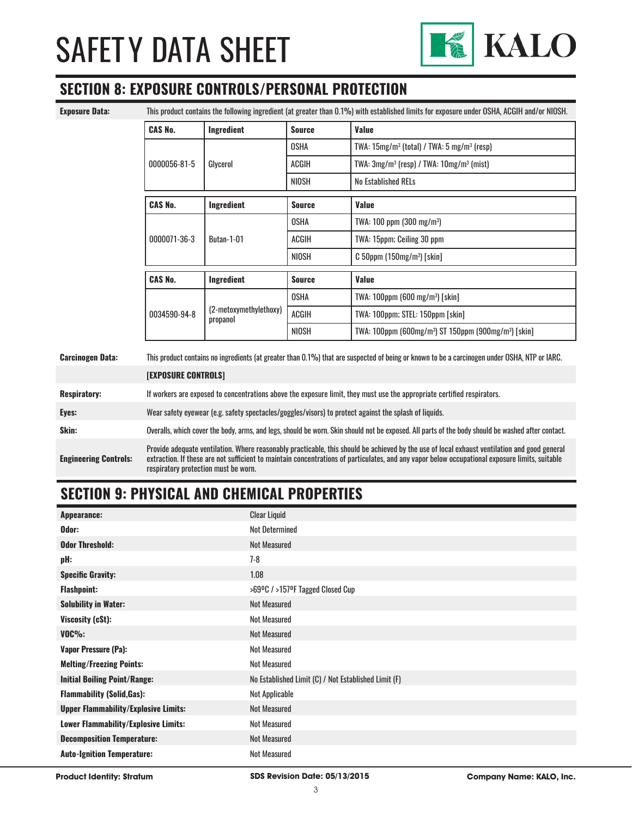

### **SECTION 8: EXPOSURE CONTROLS/PERSONAL PROTECTION**

**Exposure Data:** This product contains the following ingredient (at greater than 0.1%) with established limits for exposure under OSHA, ACGIH and/or NIOSH.

| <b>CAS No.</b><br><b>Ingredient</b> |                        | <b>Source</b> | <b>Value</b>                                                                 |
|-------------------------------------|------------------------|---------------|------------------------------------------------------------------------------|
|                                     |                        | <b>OSHA</b>   | TWA: $15mg/m3$ (total) / TWA: $5mg/m3$ (resp)                                |
| 0000056-81-5<br>Glycerol            |                        | ACGIH         | TWA: $3mg/m^3$ (resp) / TWA: $10mg/m^3$ (mist)                               |
|                                     |                        | NIOSH         | <b>No Established RELs</b>                                                   |
| <b>CAS No.</b><br>Ingredient        |                        | <b>Source</b> | Value                                                                        |
|                                     |                        | <b>OSHA</b>   | TWA: $100$ ppm ( $300$ mg/m <sup>3</sup> )                                   |
| 0000071-36-3<br>Butan-1-01          |                        | <b>ACGIH</b>  | TWA: 15ppm; Ceiling 30 ppm                                                   |
|                                     |                        | <b>NIOSH</b>  | $C$ 50ppm (150mg/m <sup>3</sup> ) [skin]                                     |
| <b>CAS No.</b><br>Ingredient        |                        | <b>Source</b> | <b>Value</b>                                                                 |
|                                     |                        | OSHA          | TWA: 100ppm (600 mg/m <sup>3</sup> ) [skin]                                  |
| 0034590-94-8<br>propanol            | (2-metoxymethylethoxy) | ACGIH         | TWA: 100ppm; STEL: 150ppm [skin]                                             |
|                                     |                        | <b>NIOSH</b>  | TWA: 100ppm (600mg/m <sup>3</sup> ) ST 150ppm (900mg/m <sup>3</sup> ) [skin] |

| <b>Respiratory:</b>          | If workers are exposed to concentrations above the exposure limit, they must use the appropriate certified respirators.                                                                                                                                                                                                                |
|------------------------------|----------------------------------------------------------------------------------------------------------------------------------------------------------------------------------------------------------------------------------------------------------------------------------------------------------------------------------------|
| Eyes:                        | Wear safety eyewear (e.g. safety spectacles/goggles/visors) to protect against the splash of liquids.                                                                                                                                                                                                                                  |
| Skin:                        | Overalls, which cover the body, arms, and legs, should be worn. Skin should not be exposed. All parts of the body should be washed after contact.                                                                                                                                                                                      |
| <b>Engineering Controls:</b> | Provide adequate ventilation. Where reasonably practicable, this should be achieved by the use of local exhaust ventilation and good general<br>extraction. If these are not sufficient to maintain concentrations of particulates, and any vapor below occupational exposure limits, suitable<br>respiratory protection must be worn. |

# **SECTION 9: PHYSICAL AND CHEMICAL PROPERTIES**

| <b>Appearance:</b>                          | <b>Clear Liquid</b>                                  |
|---------------------------------------------|------------------------------------------------------|
| Odor:                                       | <b>Not Determined</b>                                |
| <b>Odor Threshold:</b>                      | <b>Not Measured</b>                                  |
| pH:                                         | $7-8$                                                |
| <b>Specific Gravity:</b>                    | 1.08                                                 |
| <b>Flashpoint:</b>                          | >69°C / >157°F Tagged Closed Cup                     |
| <b>Solubility in Water:</b>                 | <b>Not Measured</b>                                  |
| Viscosity (cSt):                            | Not Measured                                         |
| $VOC\%$ :                                   | <b>Not Measured</b>                                  |
| <b>Vapor Pressure (Pa):</b>                 | Not Measured                                         |
| <b>Melting/Freezing Points:</b>             | Not Measured                                         |
| <b>Initial Boiling Point/Range:</b>         | No Established Limit (C) / Not Established Limit (F) |
| <b>Flammability (Solid, Gas):</b>           | Not Applicable                                       |
| <b>Upper Flammability/Explosive Limits:</b> | <b>Not Measured</b>                                  |
| <b>Lower Flammability/Explosive Limits:</b> | Not Measured                                         |
| <b>Decomposition Temperature:</b>           | <b>Not Measured</b>                                  |
| <b>Auto-Ignition Temperature:</b>           | <b>Not Measured</b>                                  |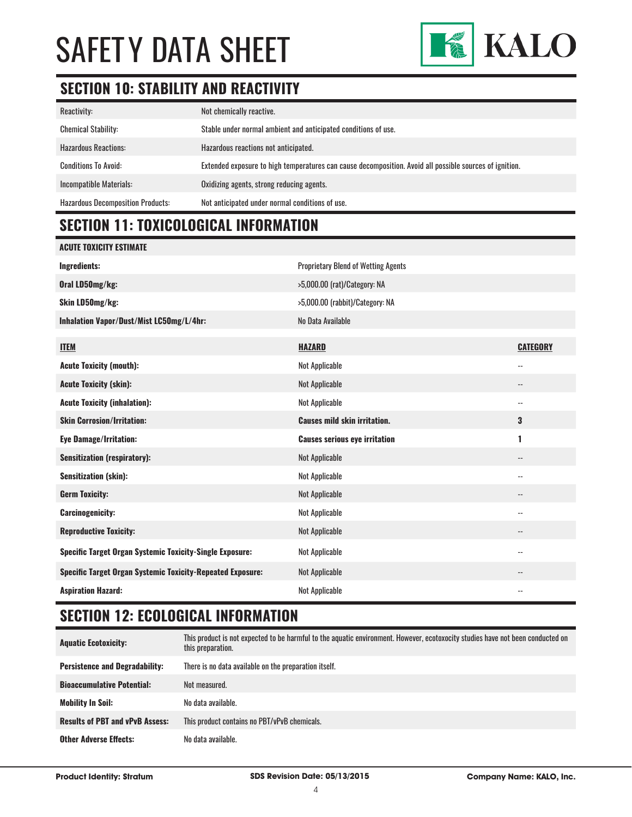

# **SECTION 10: STABILITY AND REACTIVITY**

| Reactivity:                              | Not chemically reactive.                                                                                |
|------------------------------------------|---------------------------------------------------------------------------------------------------------|
| <b>Chemical Stability:</b>               | Stable under normal ambient and anticipated conditions of use.                                          |
| <b>Hazardous Reactions:</b>              | Hazardous reactions not anticipated.                                                                    |
| <b>Conditions To Avoid:</b>              | Extended exposure to high temperatures can cause decomposition. Avoid all possible sources of ignition. |
| Incompatible Materials:                  | Oxidizing agents, strong reducing agents.                                                               |
| <b>Hazardous Decomposition Products:</b> | Not anticipated under normal conditions of use.                                                         |

# **SECTION 11: TOXICOLOGICAL INFORMATION**

| <b>ACUTE TOXICITY ESTIMATE</b>                                    |                                            |                          |
|-------------------------------------------------------------------|--------------------------------------------|--------------------------|
| <b>Ingredients:</b>                                               | <b>Proprietary Blend of Wetting Agents</b> |                          |
| Oral LD50mg/kg:                                                   | >5,000.00 (rat)/Category: NA               |                          |
| Skin LD50mg/kg:                                                   | >5,000.00 (rabbit)/Category: NA            |                          |
| Inhalation Vapor/Dust/Mist LC50mg/L/4hr:                          | No Data Available                          |                          |
| <b>ITEM</b>                                                       | <b>HAZARD</b>                              | <b>CATEGORY</b>          |
| <b>Acute Toxicity (mouth):</b>                                    | <b>Not Applicable</b>                      | $\overline{\phantom{a}}$ |
| <b>Acute Toxicity (skin):</b>                                     | <b>Not Applicable</b>                      | $\overline{\phantom{a}}$ |
| <b>Acute Toxicity (inhalation):</b>                               | <b>Not Applicable</b>                      | $\overline{\phantom{a}}$ |
| <b>Skin Corrosion/Irritation:</b>                                 | <b>Causes mild skin irritation.</b>        | 3                        |
| <b>Eye Damage/Irritation:</b>                                     | <b>Causes serious eye irritation</b>       | 1                        |
| <b>Sensitization (respiratory):</b>                               | <b>Not Applicable</b>                      | $\overline{\phantom{a}}$ |
| <b>Sensitization (skin):</b>                                      | <b>Not Applicable</b>                      | $-$                      |
| <b>Germ Toxicity:</b>                                             | <b>Not Applicable</b>                      | $\qquad \qquad -$        |
| <b>Carcinogenicity:</b>                                           | <b>Not Applicable</b>                      | $\overline{\phantom{a}}$ |
| <b>Reproductive Toxicity:</b>                                     | <b>Not Applicable</b>                      | $\overline{\phantom{a}}$ |
| <b>Specific Target Organ Systemic Toxicity-Single Exposure:</b>   | <b>Not Applicable</b>                      | $-$                      |
| <b>Specific Target Organ Systemic Toxicity-Repeated Exposure:</b> | <b>Not Applicable</b>                      | $\qquad \qquad -$        |
| <b>Aspiration Hazard:</b>                                         | Not Applicable                             | $\overline{\phantom{a}}$ |

# **SECTION 12: ECOLOGICAL INFORMATION**

| <b>Aquatic Ecotoxicity:</b>            | This product is not expected to be harmful to the aquatic environment. However, ecotoxocity studies have not been conducted on<br>this preparation. |
|----------------------------------------|-----------------------------------------------------------------------------------------------------------------------------------------------------|
| <b>Persistence and Degradability:</b>  | There is no data available on the preparation itself.                                                                                               |
| <b>Bioaccumulative Potential:</b>      | Not measured.                                                                                                                                       |
| <b>Mobility In Soil:</b>               | No data available.                                                                                                                                  |
| <b>Results of PBT and vPvB Assess:</b> | This product contains no PBT/vPvB chemicals.                                                                                                        |
| <b>Other Adverse Effects:</b>          | No data available.                                                                                                                                  |